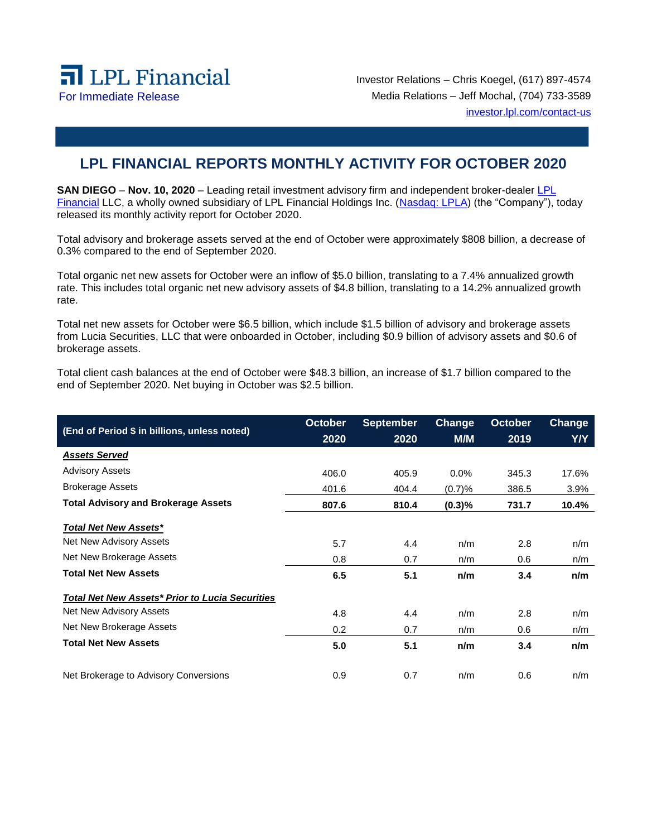

Investor Relations – Chris Koegel, (617) 897-4574 For Immediate Release Media Relations – Jeff Mochal, (704) 733-3589 [investor.lpl.com/contact-us](https://investor.lpl.com/contact-us)

## **LPL FINANCIAL REPORTS MONTHLY ACTIVITY FOR OCTOBER 2020**

**SAN DIEGO** – Nov. 10, 2020 – Leading retail investment advisory firm and independent broker-dealer LPL [Financial](https://www.lpl.com/) LLC, a wholly owned subsidiary of LPL Financial Holdings Inc. [\(Nasdaq: LPLA\)](https://www.nasdaq.com/symbol/lpla) (the "Company"), today released its monthly activity report for October 2020.

Total advisory and brokerage assets served at the end of October were approximately \$808 billion, a decrease of 0.3% compared to the end of September 2020.

Total organic net new assets for October were an inflow of \$5.0 billion, translating to a 7.4% annualized growth rate. This includes total organic net new advisory assets of \$4.8 billion, translating to a 14.2% annualized growth rate.

Total net new assets for October were \$6.5 billion, which include \$1.5 billion of advisory and brokerage assets from Lucia Securities, LLC that were onboarded in October, including \$0.9 billion of advisory assets and \$0.6 of brokerage assets.

Total client cash balances at the end of October were \$48.3 billion, an increase of \$1.7 billion compared to the end of September 2020. Net buying in October was \$2.5 billion.

| (End of Period \$ in billions, unless noted)           | <b>October</b><br>2020 | <b>September</b><br>2020 | Change<br>M/M | October<br>2019 | Change<br>Y/Y |
|--------------------------------------------------------|------------------------|--------------------------|---------------|-----------------|---------------|
| <b>Assets Served</b>                                   |                        |                          |               |                 |               |
| <b>Advisory Assets</b>                                 |                        |                          |               |                 |               |
|                                                        | 406.0                  | 405.9                    | $0.0\%$       | 345.3           | 17.6%         |
| <b>Brokerage Assets</b>                                | 401.6                  | 404.4                    | (0.7)%        | 386.5           | 3.9%          |
| <b>Total Advisory and Brokerage Assets</b>             | 807.6                  | 810.4                    | (0.3)%        | 731.7           | 10.4%         |
| <b>Total Net New Assets*</b>                           |                        |                          |               |                 |               |
| Net New Advisory Assets                                | 5.7                    | 4.4                      | n/m           | 2.8             | n/m           |
| Net New Brokerage Assets                               | 0.8                    | 0.7                      | n/m           | 0.6             | n/m           |
| <b>Total Net New Assets</b>                            | 6.5                    | 5.1                      | n/m           | 3.4             | n/m           |
| <b>Total Net New Assets* Prior to Lucia Securities</b> |                        |                          |               |                 |               |
| Net New Advisory Assets                                | 4.8                    | 4.4                      | n/m           | 2.8             | n/m           |
| Net New Brokerage Assets                               | 0.2                    | 0.7                      | n/m           | 0.6             | n/m           |
| <b>Total Net New Assets</b>                            | 5.0                    | 5.1                      | n/m           | 3.4             | n/m           |
| Net Brokerage to Advisory Conversions                  | 0.9                    | 0.7                      | n/m           | 0.6             | n/m           |